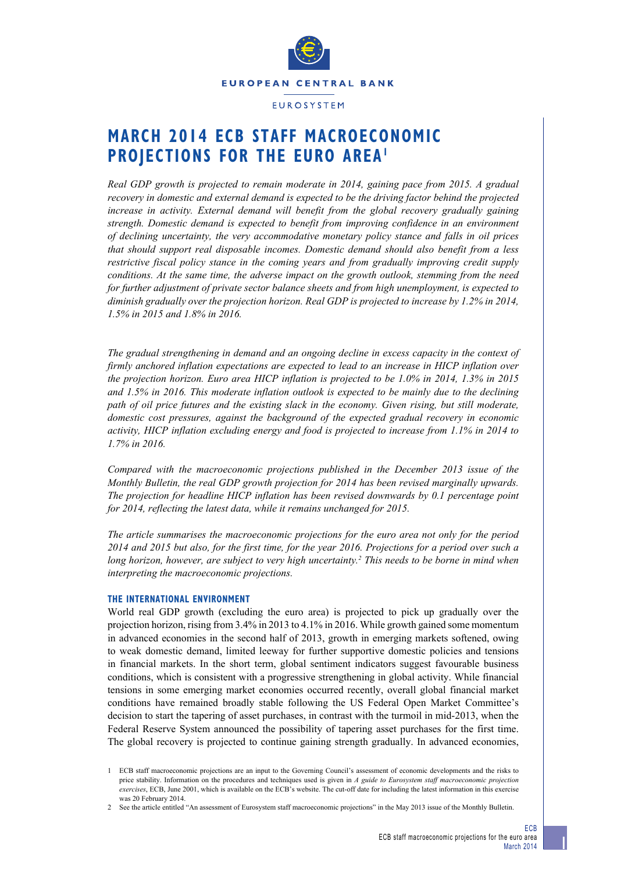

#### **EUROSYSTEM**

# **March 2014 ECB STAFF MACROECONOMIC PROJECTIONS FOR THE EURO AREA1**

*Real GDP growth is projected to remain moderate in 2014, gaining pace from 2015. A gradual recovery in domestic and external demand is expected to be the driving factor behind the projected increase in activity. External demand will benefit from the global recovery gradually gaining strength. Domestic demand is expected to benefit from improving confidence in an environment of declining uncertainty, the very accommodative monetary policy stance and falls in oil prices that should support real disposable incomes. Domestic demand should also benefit from a less restrictive fiscal policy stance in the coming years and from gradually improving credit supply conditions. At the same time, the adverse impact on the growth outlook, stemming from the need for further adjustment of private sector balance sheets and from high unemployment, is expected to diminish gradually over the projection horizon. Real GDP is projected to increase by 1.2% in 2014, 1.5% in 2015 and 1.8% in 2016.* 

*The gradual strengthening in demand and an ongoing decline in excess capacity in the context of firmly anchored inflation expectations are expected to lead to an increase in HICP inflation over the projection horizon. Euro area HICP inflation is projected to be 1.0% in 2014, 1.3% in 2015 and 1.5% in 2016. This moderate inflation outlook is expected to be mainly due to the declining path of oil price futures and the existing slack in the economy. Given rising, but still moderate, domestic cost pressures, against the background of the expected gradual recovery in economic activity, HICP inflation excluding energy and food is projected to increase from 1.1% in 2014 to 1.7% in 2016.*

*Compared with the macroeconomic projections published in the December 2013 issue of the Monthly Bulletin, the real GDP growth projection for 2014 has been revised marginally upwards. The projection for headline HICP inflation has been revised downwards by 0.1 percentage point for 2014, reflecting the latest data, while it remains unchanged for 2015.*

*The article summarises the macroeconomic projections for the euro area not only for the period 2014 and 2015 but also, for the first time, for the year 2016. Projections for a period over such a long horizon, however, are subject to very high uncertainty.2 This needs to be borne in mind when interpreting the macroeconomic projections.*

#### **THE INTERNATIONAL ENVIRONMENT**

World real GDP growth (excluding the euro area) is projected to pick up gradually over the projection horizon, rising from 3.4% in 2013 to 4.1% in 2016. While growth gained some momentum in advanced economies in the second half of 2013, growth in emerging markets softened, owing to weak domestic demand, limited leeway for further supportive domestic policies and tensions in financial markets. In the short term, global sentiment indicators suggest favourable business conditions, which is consistent with a progressive strengthening in global activity. While financial tensions in some emerging market economies occurred recently, overall global financial market conditions have remained broadly stable following the US Federal Open Market Committee's decision to start the tapering of asset purchases, in contrast with the turmoil in mid-2013, when the Federal Reserve System announced the possibility of tapering asset purchases for the first time. The global recovery is projected to continue gaining strength gradually. In advanced economies,

<sup>1</sup> ECB staff macroeconomic projections are an input to the Governing Council's assessment of economic developments and the risks to price stability. Information on the procedures and techniques used is given in *A guide to Eurosystem staff macroeconomic projection exercises*, ECB, June 2001, which is available on the ECB's website. The cut-off date for including the latest information in this exercise was 20 February 2014.

<sup>2</sup> See the article entitled "An assessment of Eurosystem staff macroeconomic projections" in the May 2013 issue of the Monthly Bulletin.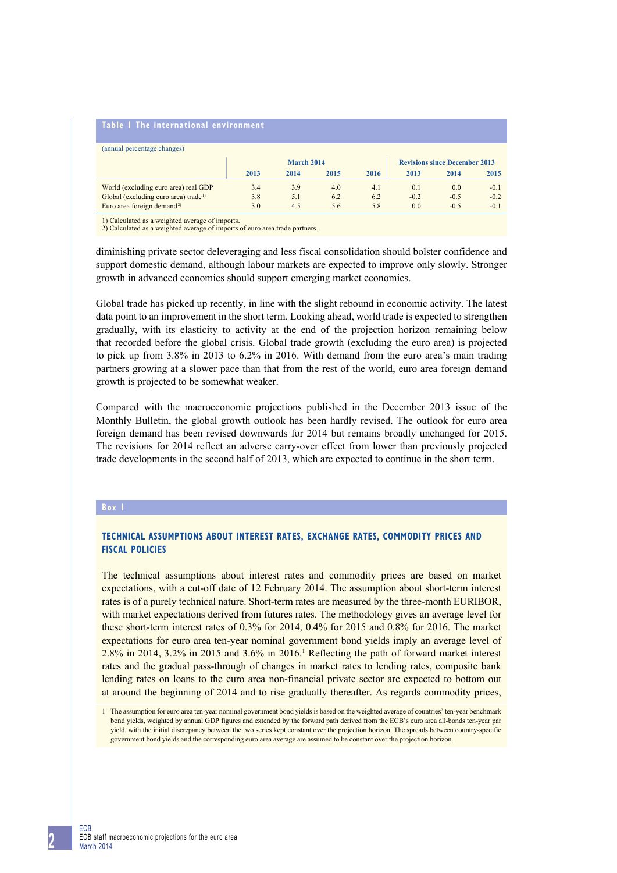#### **table 1 the international environment**

| (annual percentage changes)                      |      |            |                                      |      |        |        |        |  |
|--------------------------------------------------|------|------------|--------------------------------------|------|--------|--------|--------|--|
|                                                  |      | March 2014 | <b>Revisions since December 2013</b> |      |        |        |        |  |
|                                                  | 2013 | 2014       | 2015                                 | 2016 | 2013   | 2014   | 2015   |  |
| World (excluding euro area) real GDP             | 3.4  | 3.9        | 4.0                                  | 4.1  | 0.1    | 0.0    | $-0.1$ |  |
| Global (excluding euro area) trade <sup>1)</sup> | 3.8  | 5.1        | 6.2                                  | 6.2  | $-0.2$ | $-0.5$ | $-0.2$ |  |
| Euro area foreign demand <sup>2)</sup>           | 3.0  | 4.5        | 5.6                                  | 5.8  | 0.0    | $-0.5$ | $-0.1$ |  |

1) Calculated as a weighted average of imports. 2) Calculated as a weighted average of imports of euro area trade partners.

diminishing private sector deleveraging and less fiscal consolidation should bolster confidence and support domestic demand, although labour markets are expected to improve only slowly. Stronger growth in advanced economies should support emerging market economies.

Global trade has picked up recently, in line with the slight rebound in economic activity. The latest data point to an improvement in the short term. Looking ahead, world trade is expected to strengthen gradually, with its elasticity to activity at the end of the projection horizon remaining below that recorded before the global crisis. Global trade growth (excluding the euro area) is projected to pick up from 3.8% in 2013 to 6.2% in 2016. With demand from the euro area's main trading partners growing at a slower pace than that from the rest of the world, euro area foreign demand growth is projected to be somewhat weaker.

Compared with the macroeconomic projections published in the December 2013 issue of the Monthly Bulletin, the global growth outlook has been hardly revised. The outlook for euro area foreign demand has been revised downwards for 2014 but remains broadly unchanged for 2015. The revisions for 2014 reflect an adverse carry-over effect from lower than previously projected trade developments in the second half of 2013, which are expected to continue in the short term.

#### **Box 1**

# **Technical assumptions about interest rates, exchange rates, commodity prices and fiscal policies**

The technical assumptions about interest rates and commodity prices are based on market expectations, with a cut-off date of 12 February 2014. The assumption about short-term interest rates is of a purely technical nature. Short-term rates are measured by the three-month EURIBOR, with market expectations derived from futures rates. The methodology gives an average level for these short-term interest rates of 0.3% for 2014, 0.4% for 2015 and 0.8% for 2016. The market expectations for euro area ten-year nominal government bond yields imply an average level of 2.8% in 2014, 3.2% in 2015 and 3.6% in 2016.1 Reflecting the path of forward market interest rates and the gradual pass-through of changes in market rates to lending rates, composite bank lending rates on loans to the euro area non-financial private sector are expected to bottom out at around the beginning of 2014 and to rise gradually thereafter. As regards commodity prices,

<sup>1</sup> The assumption for euro area ten-year nominal government bond yields is based on the weighted average of countries' ten-year benchmark bond yields, weighted by annual GDP figures and extended by the forward path derived from the ECB's euro area all-bonds ten-year par yield, with the initial discrepancy between the two series kept constant over the projection horizon. The spreads between country-specific government bond yields and the corresponding euro area average are assumed to be constant over the projection horizon.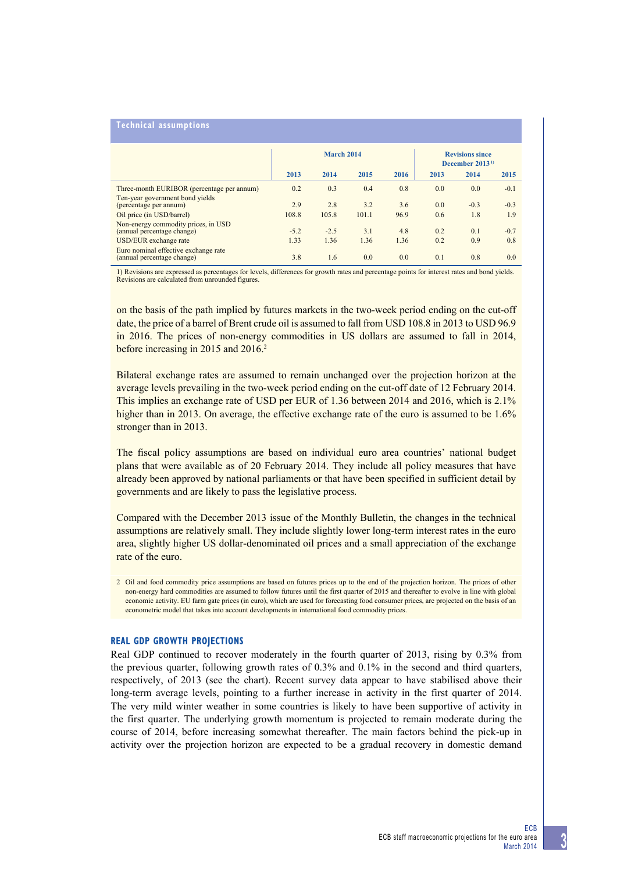## **Technical assumptions**

|                                                                    | March 2014 |        |       |      | <b>Revisions since</b><br>December $20131$ |        |        |
|--------------------------------------------------------------------|------------|--------|-------|------|--------------------------------------------|--------|--------|
|                                                                    | 2013       | 2014   | 2015  | 2016 | 2013                                       | 2014   | 2015   |
| Three-month EURIBOR (percentage per annum)                         | 0.2        | 0.3    | 0.4   | 0.8  | 0.0                                        | 0.0    | $-0.1$ |
| Ten-year government bond yields<br>(percentage per annum)          | 2.9        | 2.8    | 3.2   | 3.6  | 0.0                                        | $-0.3$ | $-0.3$ |
| Oil price (in USD/barrel)                                          | 108.8      | 105.8  | 101.1 | 96.9 | 0.6                                        | 1.8    | 1.9    |
| Non-energy commodity prices, in USD<br>(annual percentage change)  | $-5.2$     | $-2.5$ | 3.1   | 4.8  | 0.2                                        | 0.1    | $-0.7$ |
| USD/EUR exchange rate                                              | 1.33       | 1.36   | 1.36  | 1.36 | 0.2                                        | 0.9    | 0.8    |
| Euro nominal effective exchange rate<br>(annual percentage change) | 3.8        | 1.6    | 0.0   | 0.0  | 0.1                                        | 0.8    | 0.0    |

1) Revisions are expressed as percentages for levels, differences for growth rates and percentage points for interest rates and bond yields. Revisions are calculated from unrounded figures.

on the basis of the path implied by futures markets in the two-week period ending on the cut-off date, the price of a barrel of Brent crude oil is assumed to fall from USD 108.8 in 2013 to USD 96.9 in 2016. The prices of non-energy commodities in US dollars are assumed to fall in 2014, before increasing in 2015 and 2016.<sup>2</sup>

Bilateral exchange rates are assumed to remain unchanged over the projection horizon at the average levels prevailing in the two-week period ending on the cut-off date of 12 February 2014. This implies an exchange rate of USD per EUR of 1.36 between 2014 and 2016, which is 2.1% higher than in 2013. On average, the effective exchange rate of the euro is assumed to be 1.6% stronger than in 2013.

The fiscal policy assumptions are based on individual euro area countries' national budget plans that were available as of 20 February 2014. They include all policy measures that have already been approved by national parliaments or that have been specified in sufficient detail by governments and are likely to pass the legislative process.

Compared with the December 2013 issue of the Monthly Bulletin, the changes in the technical assumptions are relatively small. They include slightly lower long-term interest rates in the euro area, slightly higher US dollar-denominated oil prices and a small appreciation of the exchange rate of the euro.

## **REAL GDP GROWTH PROJECTIONS**

Real GDP continued to recover moderately in the fourth quarter of 2013, rising by 0.3% from the previous quarter, following growth rates of 0.3% and 0.1% in the second and third quarters, respectively, of 2013 (see the chart). Recent survey data appear to have stabilised above their long-term average levels, pointing to a further increase in activity in the first quarter of 2014. The very mild winter weather in some countries is likely to have been supportive of activity in the first quarter. The underlying growth momentum is projected to remain moderate during the course of 2014, before increasing somewhat thereafter. The main factors behind the pick-up in activity over the projection horizon are expected to be a gradual recovery in domestic demand

<sup>2</sup> Oil and food commodity price assumptions are based on futures prices up to the end of the projection horizon. The prices of other non-energy hard commodities are assumed to follow futures until the first quarter of 2015 and thereafter to evolve in line with global economic activity. EU farm gate prices (in euro), which are used for forecasting food consumer prices, are projected on the basis of an econometric model that takes into account developments in international food commodity prices.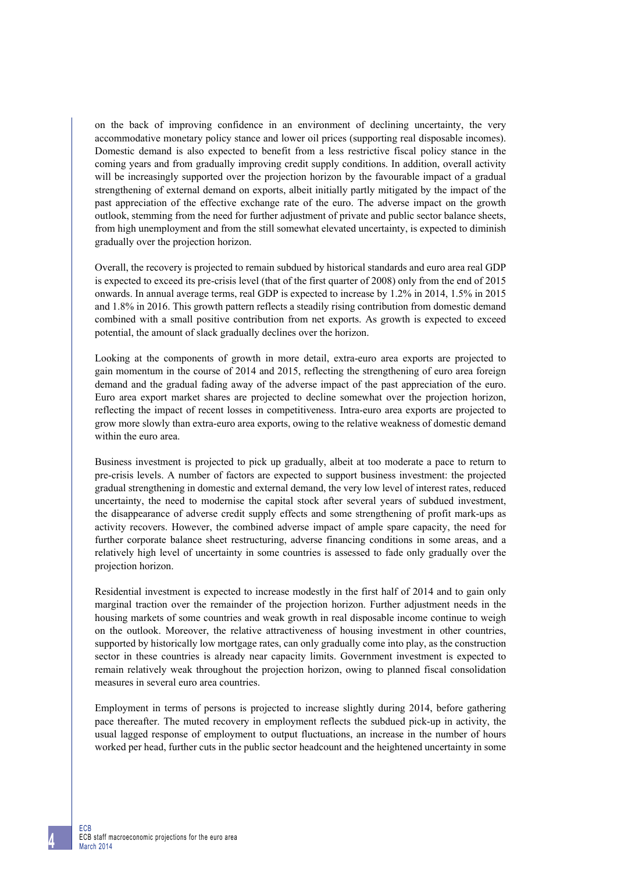on the back of improving confidence in an environment of declining uncertainty, the very accommodative monetary policy stance and lower oil prices (supporting real disposable incomes). Domestic demand is also expected to benefit from a less restrictive fiscal policy stance in the coming years and from gradually improving credit supply conditions. In addition, overall activity will be increasingly supported over the projection horizon by the favourable impact of a gradual strengthening of external demand on exports, albeit initially partly mitigated by the impact of the past appreciation of the effective exchange rate of the euro. The adverse impact on the growth outlook, stemming from the need for further adjustment of private and public sector balance sheets, from high unemployment and from the still somewhat elevated uncertainty, is expected to diminish gradually over the projection horizon.

Overall, the recovery is projected to remain subdued by historical standards and euro area real GDP is expected to exceed its pre-crisis level (that of the first quarter of 2008) only from the end of 2015 onwards. In annual average terms, real GDP is expected to increase by 1.2% in 2014, 1.5% in 2015 and 1.8% in 2016. This growth pattern reflects a steadily rising contribution from domestic demand combined with a small positive contribution from net exports. As growth is expected to exceed potential, the amount of slack gradually declines over the horizon.

Looking at the components of growth in more detail, extra-euro area exports are projected to gain momentum in the course of 2014 and 2015, reflecting the strengthening of euro area foreign demand and the gradual fading away of the adverse impact of the past appreciation of the euro. Euro area export market shares are projected to decline somewhat over the projection horizon, reflecting the impact of recent losses in competitiveness. Intra-euro area exports are projected to grow more slowly than extra-euro area exports, owing to the relative weakness of domestic demand within the euro area.

Business investment is projected to pick up gradually, albeit at too moderate a pace to return to pre-crisis levels. A number of factors are expected to support business investment: the projected gradual strengthening in domestic and external demand, the very low level of interest rates, reduced uncertainty, the need to modernise the capital stock after several years of subdued investment, the disappearance of adverse credit supply effects and some strengthening of profit mark-ups as activity recovers. However, the combined adverse impact of ample spare capacity, the need for further corporate balance sheet restructuring, adverse financing conditions in some areas, and a relatively high level of uncertainty in some countries is assessed to fade only gradually over the projection horizon.

Residential investment is expected to increase modestly in the first half of 2014 and to gain only marginal traction over the remainder of the projection horizon. Further adjustment needs in the housing markets of some countries and weak growth in real disposable income continue to weigh on the outlook. Moreover, the relative attractiveness of housing investment in other countries, supported by historically low mortgage rates, can only gradually come into play, as the construction sector in these countries is already near capacity limits. Government investment is expected to remain relatively weak throughout the projection horizon, owing to planned fiscal consolidation measures in several euro area countries.

Employment in terms of persons is projected to increase slightly during 2014, before gathering pace thereafter. The muted recovery in employment reflects the subdued pick-up in activity, the usual lagged response of employment to output fluctuations, an increase in the number of hours worked per head, further cuts in the public sector headcount and the heightened uncertainty in some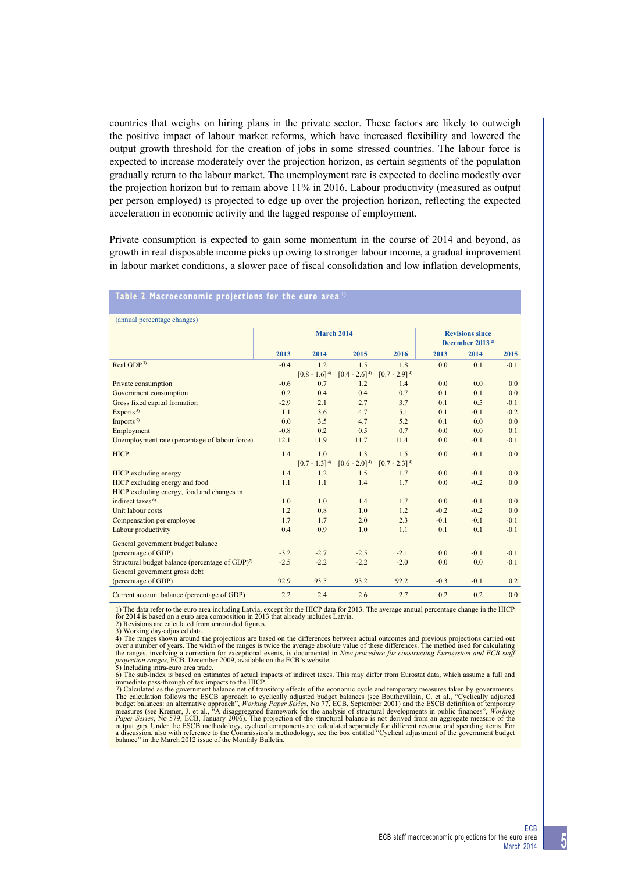countries that weighs on hiring plans in the private sector. These factors are likely to outweigh the positive impact of labour market reforms, which have increased flexibility and lowered the output growth threshold for the creation of jobs in some stressed countries. The labour force is expected to increase moderately over the projection horizon, as certain segments of the population gradually return to the labour market. The unemployment rate is expected to decline modestly over the projection horizon but to remain above 11% in 2016. Labour productivity (measured as output per person employed) is projected to edge up over the projection horizon, reflecting the expected acceleration in economic activity and the lagged response of employment.

Private consumption is expected to gain some momentum in the course of 2014 and beyond, as growth in real disposable income picks up owing to stronger labour income, a gradual improvement in labour market conditions, a slower pace of fiscal consolidation and low inflation developments,

#### **table 2 macroeconomic projections for the euro area 1)**

| (annual percentage changes)                                 |        |                   |                                                       |                   |        |        |                  |
|-------------------------------------------------------------|--------|-------------------|-------------------------------------------------------|-------------------|--------|--------|------------------|
|                                                             |        | <b>March 2014</b> | <b>Revisions since</b><br>December 2013 <sup>2)</sup> |                   |        |        |                  |
|                                                             | 2013   | 2014              | 2015                                                  | 2016              | 2013   | 2014   | 2015             |
| Real GDP <sup>3)</sup>                                      | $-0.4$ | 1.2               | 1.5                                                   | 1.8               | 0.0    | 0.1    | $-0.1$           |
|                                                             |        | $[0.8 - 1.6]^{4}$ | $[0.4 - 2.6]$ <sup>4)</sup>                           | $[0.7 - 2.9]^{4}$ |        |        |                  |
| Private consumption                                         | $-0.6$ | 0.7               | 1.2                                                   | 1.4               | 0.0    | 0.0    | 0.0              |
| Government consumption                                      | 0.2    | 0.4               | 0.4                                                   | 0.7               | 0.1    | 0.1    | 0.0              |
| Gross fixed capital formation                               | $-2.9$ | 2.1               | 2.7                                                   | 3.7               | 0.1    | 0.5    | $-0.1$           |
| Exports <sup>5)</sup>                                       | 1.1    | 3.6               | 4.7                                                   | 5.1               | 0.1    | $-0.1$ | $-0.2$           |
| Imports <sup>5)</sup>                                       | 0.0    | 3.5               | 4.7                                                   | 5.2               | 0.1    | 0.0    | 0.0              |
| Employment                                                  | $-0.8$ | 0.2               | 0.5                                                   | 0.7               | 0.0    | 0.0    | 0.1              |
| Unemployment rate (percentage of labour force)              | 12.1   | 11.9              | 11.7                                                  | 11.4              | 0.0    | $-0.1$ | $-0.1$           |
| <b>HICP</b>                                                 | 1.4    | 1.0               | 1.3                                                   | 1.5               | 0.0    | $-0.1$ | 0.0 <sub>1</sub> |
|                                                             |        | $[0.7 - 1.3]^{4}$ | $[0.6 - 2.0]^{4}$                                     | $[0.7 - 2.3]^{4}$ |        |        |                  |
| HICP excluding energy                                       | 1.4    | 1.2               | 1.5                                                   | 1.7               | 0.0    | $-0.1$ | 0.0              |
| HICP excluding energy and food                              | 1.1    | 1.1               | 1.4                                                   | 1.7               | 0.0    | $-0.2$ | 0.0              |
| HICP excluding energy, food and changes in                  |        |                   |                                                       |                   |        |        |                  |
| indirect taxes <sup>6)</sup>                                | 1.0    | 1.0               | 1.4                                                   | 1.7               | 0.0    | $-0.1$ | 0.0              |
| Unit labour costs                                           | 1.2    | 0.8               | 1.0                                                   | 1.2               | $-0.2$ | $-0.2$ | 0.0              |
| Compensation per employee                                   | 1.7    | 1.7               | 2.0                                                   | 2.3               | $-0.1$ | $-0.1$ | $-0.1$           |
| Labour productivity                                         | 0.4    | 0.9               | 1.0                                                   | 1.1               | 0.1    | 0.1    | $-0.1$           |
| General government budget balance                           |        |                   |                                                       |                   |        |        |                  |
| (percentage of GDP)                                         | $-3.2$ | $-2.7$            | $-2.5$                                                | $-2.1$            | 0.0    | $-0.1$ | $-0.1$           |
| Structural budget balance (percentage of GDP) <sup>7)</sup> | $-2.5$ | $-2.2$            | $-2.2$                                                | $-2.0$            | 0.0    | 0.0    | $-0.1$           |
| General government gross debt                               |        |                   |                                                       |                   |        |        |                  |
| (percentage of GDP)                                         | 92.9   | 93.5              | 93.2                                                  | 92.2              | $-0.3$ | $-0.1$ | 0.2              |
| Current account balance (percentage of GDP)                 | 2.2    | 2.4               | 2.6                                                   | 2.7               | 0.2    | 0.2    | 0.0              |

1) The data refer to the euro area including Latvia, except for the HICP data for 2013. The average annual percentage change in the HICP for 2014 is based on a euro area composition in 2013 that already includes Latvia.

2) Revisions are calculated from unrounded figures. 3) Working day-adjusted data.

4) The ranges shown around the projections are based on the differences between actual outcomes and previous projections carried out over a number of years. The method used for calculating the ranges, involving a correctio

immediate pass-through of tax impacts to the HICP.<br>To Calculated as the government balance net of transitory effects of the economic cycle and temporary measures taken by governments.<br>The calculation follows the ESCB appro output gap. Under the ESCB methodology, cyclical components are calculated separately for different revenue and spending items. For<br>a discussion, also with reference to the Commission's methodology, see the box entitled "C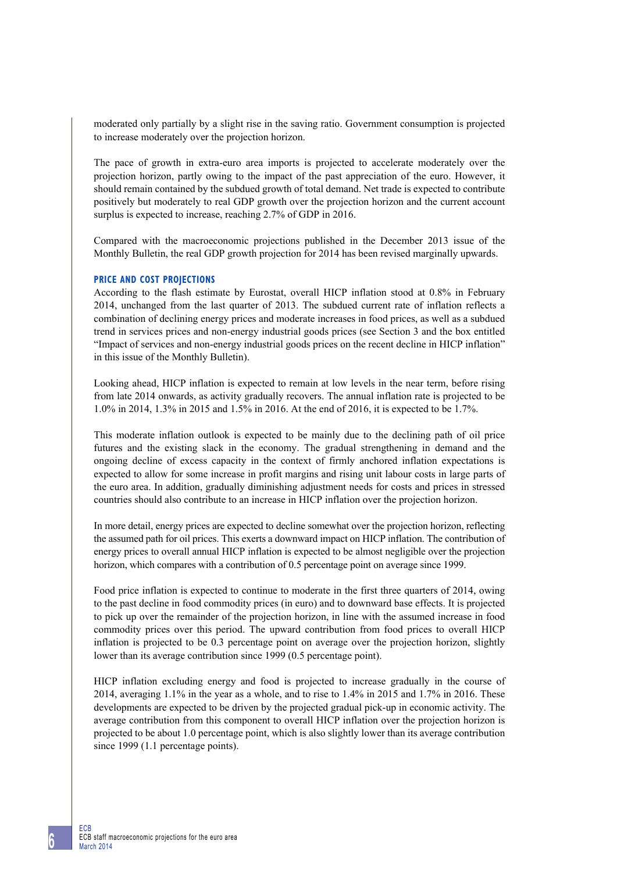moderated only partially by a slight rise in the saving ratio. Government consumption is projected to increase moderately over the projection horizon.

The pace of growth in extra-euro area imports is projected to accelerate moderately over the projection horizon, partly owing to the impact of the past appreciation of the euro. However, it should remain contained by the subdued growth of total demand. Net trade is expected to contribute positively but moderately to real GDP growth over the projection horizon and the current account surplus is expected to increase, reaching 2.7% of GDP in 2016.

Compared with the macroeconomic projections published in the December 2013 issue of the Monthly Bulletin, the real GDP growth projection for 2014 has been revised marginally upwards.

## **PRICE AND COST PROJECTIONS**

According to the flash estimate by Eurostat, overall HICP inflation stood at 0.8% in February 2014, unchanged from the last quarter of 2013. The subdued current rate of inflation reflects a combination of declining energy prices and moderate increases in food prices, as well as a subdued trend in services prices and non-energy industrial goods prices (see Section 3 and the box entitled "Impact of services and non-energy industrial goods prices on the recent decline in HICP inflation" in this issue of the Monthly Bulletin).

Looking ahead, HICP inflation is expected to remain at low levels in the near term, before rising from late 2014 onwards, as activity gradually recovers. The annual inflation rate is projected to be 1.0% in 2014, 1.3% in 2015 and 1.5% in 2016. At the end of 2016, it is expected to be 1.7%.

This moderate inflation outlook is expected to be mainly due to the declining path of oil price futures and the existing slack in the economy. The gradual strengthening in demand and the ongoing decline of excess capacity in the context of firmly anchored inflation expectations is expected to allow for some increase in profit margins and rising unit labour costs in large parts of the euro area. In addition, gradually diminishing adjustment needs for costs and prices in stressed countries should also contribute to an increase in HICP inflation over the projection horizon.

In more detail, energy prices are expected to decline somewhat over the projection horizon, reflecting the assumed path for oil prices. This exerts a downward impact on HICP inflation. The contribution of energy prices to overall annual HICP inflation is expected to be almost negligible over the projection horizon, which compares with a contribution of 0.5 percentage point on average since 1999.

Food price inflation is expected to continue to moderate in the first three quarters of 2014, owing to the past decline in food commodity prices (in euro) and to downward base effects. It is projected to pick up over the remainder of the projection horizon, in line with the assumed increase in food commodity prices over this period. The upward contribution from food prices to overall HICP inflation is projected to be 0.3 percentage point on average over the projection horizon, slightly lower than its average contribution since 1999 (0.5 percentage point).

HICP inflation excluding energy and food is projected to increase gradually in the course of 2014, averaging 1.1% in the year as a whole, and to rise to 1.4% in 2015 and 1.7% in 2016. These developments are expected to be driven by the projected gradual pick-up in economic activity. The average contribution from this component to overall HICP inflation over the projection horizon is projected to be about 1.0 percentage point, which is also slightly lower than its average contribution since 1999 (1.1 percentage points).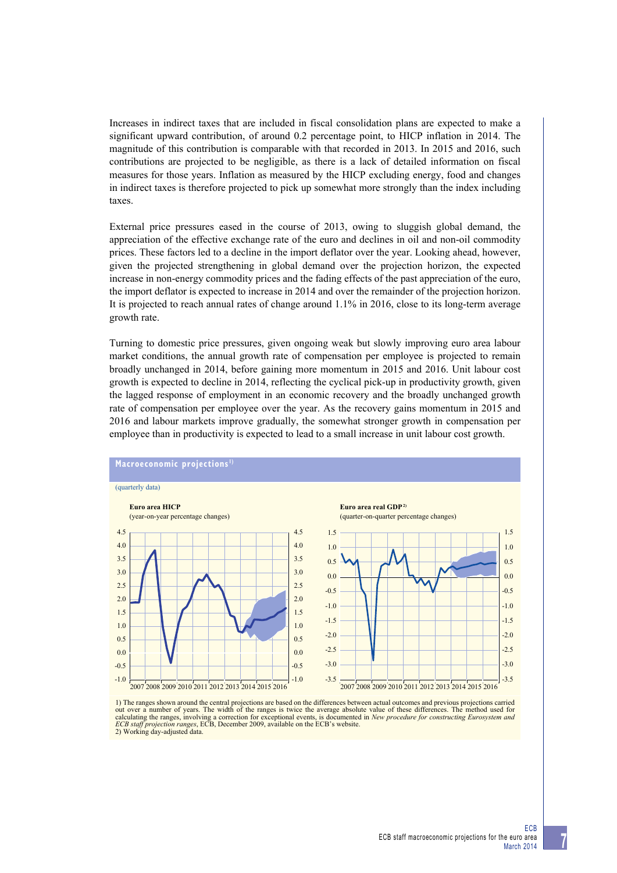Increases in indirect taxes that are included in fiscal consolidation plans are expected to make a significant upward contribution, of around 0.2 percentage point, to HICP inflation in 2014. The magnitude of this contribution is comparable with that recorded in 2013. In 2015 and 2016, such contributions are projected to be negligible, as there is a lack of detailed information on fiscal measures for those years. Inflation as measured by the HICP excluding energy, food and changes in indirect taxes is therefore projected to pick up somewhat more strongly than the index including taxes.

External price pressures eased in the course of 2013, owing to sluggish global demand, the appreciation of the effective exchange rate of the euro and declines in oil and non-oil commodity prices. These factors led to a decline in the import deflator over the year. Looking ahead, however, given the projected strengthening in global demand over the projection horizon, the expected increase in non-energy commodity prices and the fading effects of the past appreciation of the euro, the import deflator is expected to increase in 2014 and over the remainder of the projection horizon. It is projected to reach annual rates of change around 1.1% in 2016, close to its long-term average growth rate.

Turning to domestic price pressures, given ongoing weak but slowly improving euro area labour market conditions, the annual growth rate of compensation per employee is projected to remain broadly unchanged in 2014, before gaining more momentum in 2015 and 2016. Unit labour cost growth is expected to decline in 2014, reflecting the cyclical pick-up in productivity growth, given the lagged response of employment in an economic recovery and the broadly unchanged growth rate of compensation per employee over the year. As the recovery gains momentum in 2015 and 2016 and labour markets improve gradually, the somewhat stronger growth in compensation per employee than in productivity is expected to lead to a small increase in unit labour cost growth.



1) The ranges shown around the central projections are based on the differences between actual outcomes and previous projections carried out over a number of years. The width of the ranges is twice the average absolute value of these differences. The method used for calculating the ranges, involving a correction for exceptional events, is documented in New procedure for constructing Eurosystem and ECB staff projection ranges, ECB, December 2009, available on the ECB's website. 2) Working day-adjusted data.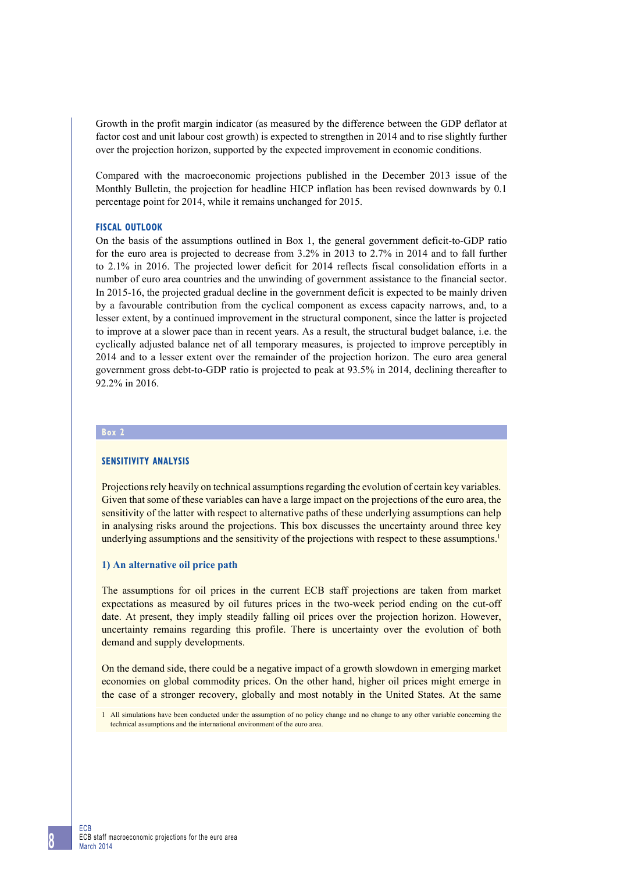Growth in the profit margin indicator (as measured by the difference between the GDP deflator at factor cost and unit labour cost growth) is expected to strengthen in 2014 and to rise slightly further over the projection horizon, supported by the expected improvement in economic conditions.

Compared with the macroeconomic projections published in the December 2013 issue of the Monthly Bulletin, the projection for headline HICP inflation has been revised downwards by 0.1 percentage point for 2014, while it remains unchanged for 2015.

#### **FISCAL OUTLOOK**

On the basis of the assumptions outlined in Box 1, the general government deficit-to-GDP ratio for the euro area is projected to decrease from 3.2% in 2013 to 2.7% in 2014 and to fall further to 2.1% in 2016. The projected lower deficit for 2014 reflects fiscal consolidation efforts in a number of euro area countries and the unwinding of government assistance to the financial sector. In 2015-16, the projected gradual decline in the government deficit is expected to be mainly driven by a favourable contribution from the cyclical component as excess capacity narrows, and, to a lesser extent, by a continued improvement in the structural component, since the latter is projected to improve at a slower pace than in recent years. As a result, the structural budget balance, i.e. the cyclically adjusted balance net of all temporary measures, is projected to improve perceptibly in 2014 and to a lesser extent over the remainder of the projection horizon. The euro area general government gross debt-to-GDP ratio is projected to peak at 93.5% in 2014, declining thereafter to 92.2% in 2016.

## **Box 2**

#### **sensitivity analysis**

Projections rely heavily on technical assumptions regarding the evolution of certain key variables. Given that some of these variables can have a large impact on the projections of the euro area, the sensitivity of the latter with respect to alternative paths of these underlying assumptions can help in analysing risks around the projections. This box discusses the uncertainty around three key underlying assumptions and the sensitivity of the projections with respect to these assumptions.<sup>1</sup>

## **1) An alternative oil price path**

The assumptions for oil prices in the current ECB staff projections are taken from market expectations as measured by oil futures prices in the two-week period ending on the cut-off date. At present, they imply steadily falling oil prices over the projection horizon. However, uncertainty remains regarding this profile. There is uncertainty over the evolution of both demand and supply developments.

On the demand side, there could be a negative impact of a growth slowdown in emerging market economies on global commodity prices. On the other hand, higher oil prices might emerge in the case of a stronger recovery, globally and most notably in the United States. At the same

<sup>1</sup> All simulations have been conducted under the assumption of no policy change and no change to any other variable concerning the technical assumptions and the international environment of the euro area.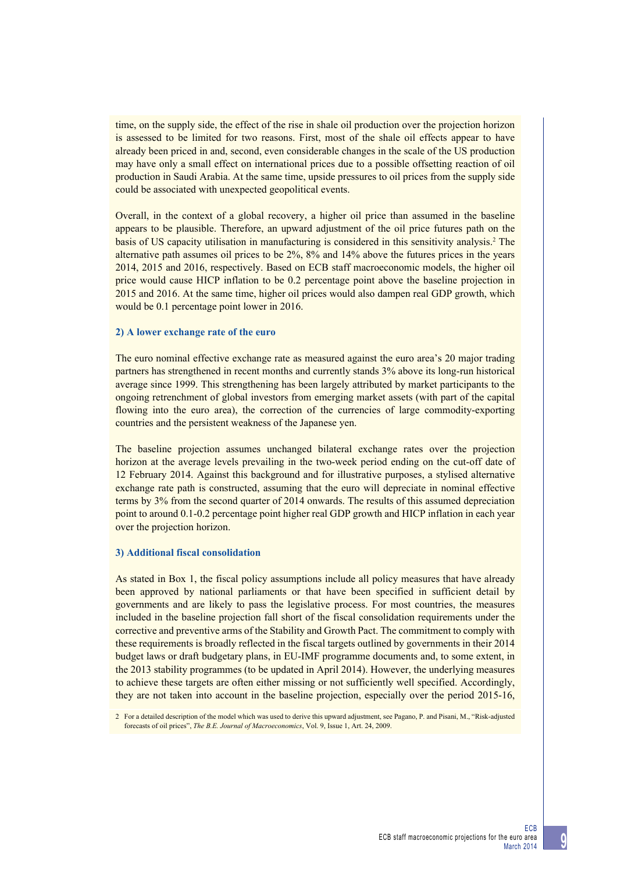time, on the supply side, the effect of the rise in shale oil production over the projection horizon is assessed to be limited for two reasons. First, most of the shale oil effects appear to have already been priced in and, second, even considerable changes in the scale of the US production may have only a small effect on international prices due to a possible offsetting reaction of oil production in Saudi Arabia. At the same time, upside pressures to oil prices from the supply side could be associated with unexpected geopolitical events.

Overall, in the context of a global recovery, a higher oil price than assumed in the baseline appears to be plausible. Therefore, an upward adjustment of the oil price futures path on the basis of US capacity utilisation in manufacturing is considered in this sensitivity analysis.<sup>2</sup> The alternative path assumes oil prices to be 2%, 8% and 14% above the futures prices in the years 2014, 2015 and 2016, respectively. Based on ECB staff macroeconomic models, the higher oil price would cause HICP inflation to be 0.2 percentage point above the baseline projection in 2015 and 2016. At the same time, higher oil prices would also dampen real GDP growth, which would be 0.1 percentage point lower in 2016.

#### **2) A lower exchange rate of the euro**

The euro nominal effective exchange rate as measured against the euro area's 20 major trading partners has strengthened in recent months and currently stands 3% above its long-run historical average since 1999. This strengthening has been largely attributed by market participants to the ongoing retrenchment of global investors from emerging market assets (with part of the capital flowing into the euro area), the correction of the currencies of large commodity-exporting countries and the persistent weakness of the Japanese yen.

The baseline projection assumes unchanged bilateral exchange rates over the projection horizon at the average levels prevailing in the two-week period ending on the cut-off date of 12 February 2014. Against this background and for illustrative purposes, a stylised alternative exchange rate path is constructed, assuming that the euro will depreciate in nominal effective terms by 3% from the second quarter of 2014 onwards. The results of this assumed depreciation point to around 0.1-0.2 percentage point higher real GDP growth and HICP inflation in each year over the projection horizon.

#### **3) Additional fiscal consolidation**

As stated in Box 1, the fiscal policy assumptions include all policy measures that have already been approved by national parliaments or that have been specified in sufficient detail by governments and are likely to pass the legislative process. For most countries, the measures included in the baseline projection fall short of the fiscal consolidation requirements under the corrective and preventive arms of the Stability and Growth Pact. The commitment to comply with these requirements is broadly reflected in the fiscal targets outlined by governments in their 2014 budget laws or draft budgetary plans, in EU-IMF programme documents and, to some extent, in the 2013 stability programmes (to be updated in April 2014). However, the underlying measures to achieve these targets are often either missing or not sufficiently well specified. Accordingly, they are not taken into account in the baseline projection, especially over the period 2015-16,

<sup>2</sup> For a detailed description of the model which was used to derive this upward adjustment, see Pagano, P. and Pisani, M., "Risk-adjusted forecasts of oil prices", *The B.E. Journal of Macroeconomics*, Vol. 9, Issue 1, Art. 24, 2009.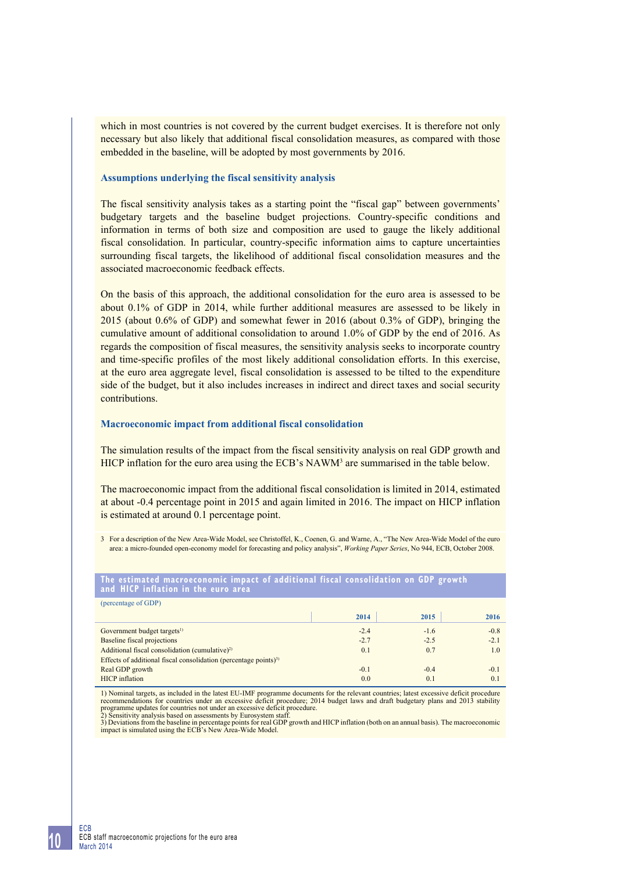which in most countries is not covered by the current budget exercises. It is therefore not only necessary but also likely that additional fiscal consolidation measures, as compared with those embedded in the baseline, will be adopted by most governments by 2016.

## **Assumptions underlying the fiscal sensitivity analysis**

The fiscal sensitivity analysis takes as a starting point the "fiscal gap" between governments' budgetary targets and the baseline budget projections. Country-specific conditions and information in terms of both size and composition are used to gauge the likely additional fiscal consolidation. In particular, country-specific information aims to capture uncertainties surrounding fiscal targets, the likelihood of additional fiscal consolidation measures and the associated macroeconomic feedback effects.

On the basis of this approach, the additional consolidation for the euro area is assessed to be about 0.1% of GDP in 2014, while further additional measures are assessed to be likely in 2015 (about 0.6% of GDP) and somewhat fewer in 2016 (about 0.3% of GDP), bringing the cumulative amount of additional consolidation to around 1.0% of GDP by the end of 2016. As regards the composition of fiscal measures, the sensitivity analysis seeks to incorporate country and time-specific profiles of the most likely additional consolidation efforts. In this exercise, at the euro area aggregate level, fiscal consolidation is assessed to be tilted to the expenditure side of the budget, but it also includes increases in indirect and direct taxes and social security contributions.

#### **Macroeconomic impact from additional fiscal consolidation**

The simulation results of the impact from the fiscal sensitivity analysis on real GDP growth and HICP inflation for the euro area using the ECB's  $NAWM<sup>3</sup>$  are summarised in the table below.

The macroeconomic impact from the additional fiscal consolidation is limited in 2014, estimated at about -0.4 percentage point in 2015 and again limited in 2016. The impact on HICP inflation is estimated at around 0.1 percentage point.

3 For a description of the New Area-Wide Model, see Christoffel, K., Coenen, G. and Warne, A., "The New Area-Wide Model of the euro area: a micro-founded open-economy model for forecasting and policy analysis", *Working Paper Series*, No 944, ECB, October 2008.

#### **the estimated macroeconomic impact of additional fiscal consolidation on Gdp growth and hicp inflation in the euro area**

| (percentage of GDP)                                                          |        |        |        |  |  |  |  |
|------------------------------------------------------------------------------|--------|--------|--------|--|--|--|--|
|                                                                              | 2014   | 2015   | 2016   |  |  |  |  |
| Government budget targets <sup>1)</sup>                                      | $-2.4$ | $-1.6$ | $-0.8$ |  |  |  |  |
| Baseline fiscal projections                                                  | $-2.7$ | $-2.5$ | $-2.1$ |  |  |  |  |
| Additional fiscal consolidation (cumulative) <sup>2)</sup>                   | 0.1    | 0.7    | 1.0    |  |  |  |  |
| Effects of additional fiscal consolidation (percentage points) <sup>3)</sup> |        |        |        |  |  |  |  |
| Real GDP growth                                                              | $-0.1$ | $-0.4$ | $-0.1$ |  |  |  |  |
| <b>HICP</b> inflation                                                        | 0.0    | 0.1    | 0.1    |  |  |  |  |

1) Nominal targets, as included in the latest EU-IMF programme documents for the relevant countries; latest excessive deficit procedure recommendations for countries under an excessive deficit procedure; 2014 budget laws and draft budgetary plans and 2013 stability programme updates for countries not under an excessive deficit procedure. 2) Sensitivity analysis based on assessments by Eurosystem staff.

3) Deviations from the baseline in percentage points for real GDP growth and HICP inflation (both on an annual basis). The macroeconomic impact is simulated using the ECB's New Area-Wide Model.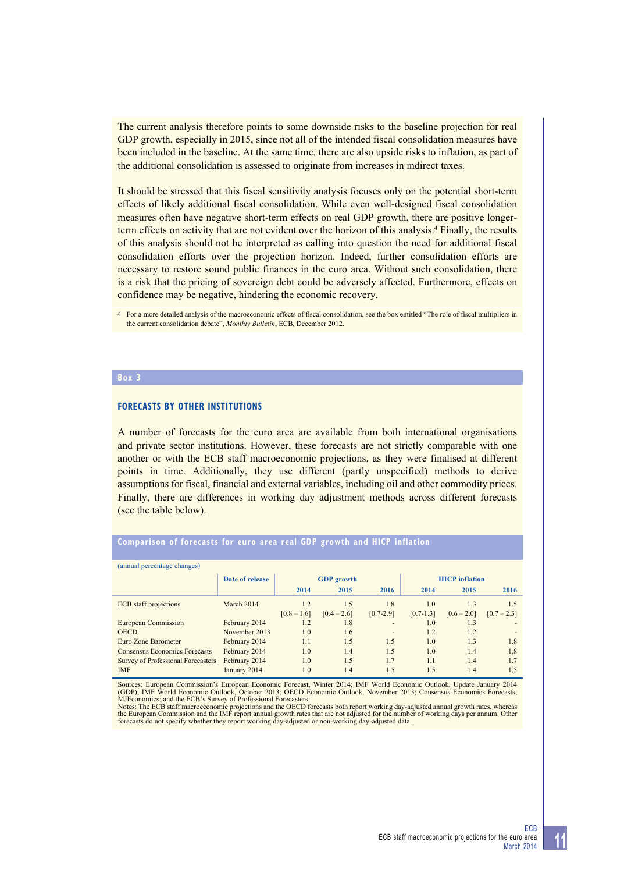The current analysis therefore points to some downside risks to the baseline projection for real GDP growth, especially in 2015, since not all of the intended fiscal consolidation measures have been included in the baseline. At the same time, there are also upside risks to inflation, as part of the additional consolidation is assessed to originate from increases in indirect taxes.

It should be stressed that this fiscal sensitivity analysis focuses only on the potential short-term effects of likely additional fiscal consolidation. While even well-designed fiscal consolidation measures often have negative short-term effects on real GDP growth, there are positive longerterm effects on activity that are not evident over the horizon of this analysis.<sup>4</sup> Finally, the results of this analysis should not be interpreted as calling into question the need for additional fiscal consolidation efforts over the projection horizon. Indeed, further consolidation efforts are necessary to restore sound public finances in the euro area. Without such consolidation, there is a risk that the pricing of sovereign debt could be adversely affected. Furthermore, effects on confidence may be negative, hindering the economic recovery.

4 For a more detailed analysis of the macroeconomic effects of fiscal consolidation, see the box entitled "The role of fiscal multipliers in the current consolidation debate", *Monthly Bulletin*, ECB, December 2012.

#### **Box 3**

## **Forecasts by other institutions**

A number of forecasts for the euro area are available from both international organisations and private sector institutions. However, these forecasts are not strictly comparable with one another or with the ECB staff macroeconomic projections, as they were finalised at different points in time. Additionally, they use different (partly unspecified) methods to derive assumptions for fiscal, financial and external variables, including oil and other commodity prices. Finally, there are differences in working day adjustment methods across different forecasts (see the table below).

#### **comparison of forecasts for euro area real Gdp growth and hicp inflation**

| (annual percentage changes)          |                 |                   |               |               |                       |               |               |  |
|--------------------------------------|-----------------|-------------------|---------------|---------------|-----------------------|---------------|---------------|--|
|                                      | Date of release | <b>GDP</b> growth |               |               | <b>HICP</b> inflation |               |               |  |
|                                      |                 | 2014              | 2015          | 2016          | 2014                  | 2015          | 2016          |  |
| <b>ECB</b> staff projections         | March 2014      | 1.2               | 1.5           | 1.8           | 1.0                   | 1.3           | 1.5           |  |
|                                      |                 | $[0.8 - 1.6]$     | $[0.4 - 2.6]$ | $[0.7 - 2.9]$ | $[0.7 - 1.3]$         | $[0.6 - 2.0]$ | $[0.7 - 2.3]$ |  |
| European Commission                  | February 2014   | 1.2               | 1.8           | -             | 1.0                   | 1.3           |               |  |
| <b>OECD</b>                          | November 2013   | 1.0               | 1.6           | -             | 1.2                   | 1.2           |               |  |
| Euro Zone Barometer                  | February 2014   | 1.1               | 1.5           | 1.5           | 1.0                   | 1.3           | 1.8           |  |
| <b>Consensus Economics Forecasts</b> | February 2014   | 1.0               | 1.4           | 1.5           | 1.0                   | 1.4           | 1.8           |  |
| Survey of Professional Forecasters   | February 2014   | 1.0               | 1.5           | 1.7           | 1.1                   | 1.4           | 1.7           |  |
| <b>IMF</b>                           | January 2014    | 1.0               | 1.4           | 1.5           | 1.5                   | 1.4           | 1.5           |  |

Sources: European Commission's European Economic Forecast, Winter 2014; IMF World Economic Outlook, Update January 2014<br>(GDP); IMF World Economic Outlook, October 2013; OECD Economic Outlook, November 2013; Consensus Econo

forecasts do not specify whether they report working day-adjusted or non-working day-adjusted data.

**11**

ECB